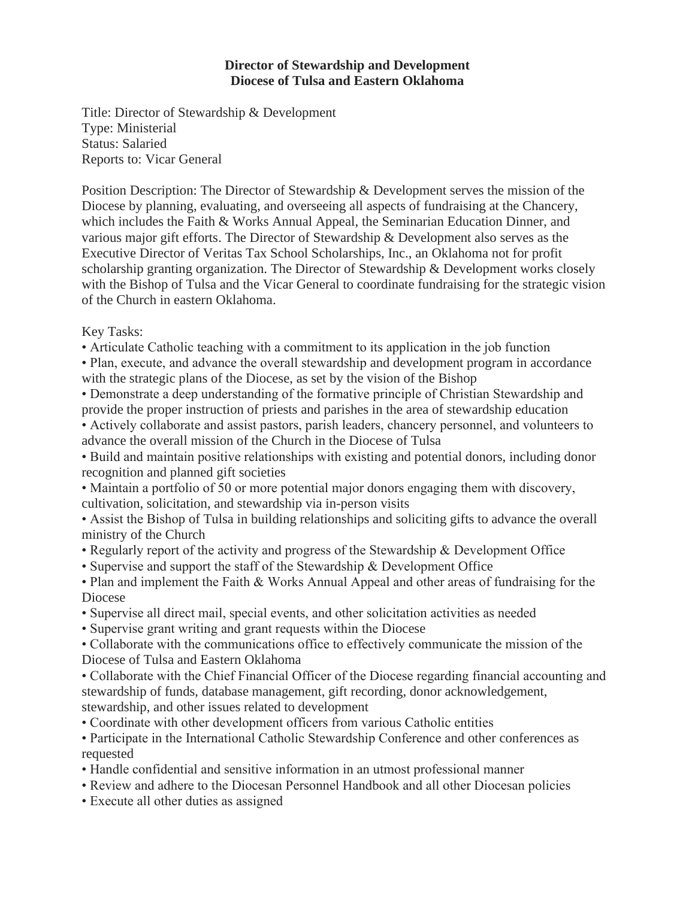## **Director of Stewardship and Development Diocese of Tulsa and Eastern Oklahoma**

Title: Director of Stewardship & Development Type: Ministerial Status: Salaried Reports to: Vicar General

Position Description: The Director of Stewardship & Development serves the mission of the Diocese by planning, evaluating, and overseeing all aspects of fundraising at the Chancery, which includes the Faith & Works Annual Appeal, the Seminarian Education Dinner, and various major gift efforts. The Director of Stewardship & Development also serves as the Executive Director of Veritas Tax School Scholarships, Inc., an Oklahoma not for profit scholarship granting organization. The Director of Stewardship & Development works closely with the Bishop of Tulsa and the Vicar General to coordinate fundraising for the strategic vision of the Church in eastern Oklahoma.

Key Tasks:

- Articulate Catholic teaching with a commitment to its application in the job function
- Plan, execute, and advance the overall stewardship and development program in accordance with the strategic plans of the Diocese, as set by the vision of the Bishop
- Demonstrate a deep understanding of the formative principle of Christian Stewardship and provide the proper instruction of priests and parishes in the area of stewardship education
- Actively collaborate and assist pastors, parish leaders, chancery personnel, and volunteers to advance the overall mission of the Church in the Diocese of Tulsa
- Build and maintain positive relationships with existing and potential donors, including donor recognition and planned gift societies
- Maintain a portfolio of 50 or more potential major donors engaging them with discovery, cultivation, solicitation, and stewardship via in-person visits

• Assist the Bishop of Tulsa in building relationships and soliciting gifts to advance the overall ministry of the Church

- Regularly report of the activity and progress of the Stewardship & Development Office
- Supervise and support the staff of the Stewardship & Development Office
- Plan and implement the Faith & Works Annual Appeal and other areas of fundraising for the Diocese
- Supervise all direct mail, special events, and other solicitation activities as needed
- Supervise grant writing and grant requests within the Diocese

• Collaborate with the communications office to effectively communicate the mission of the Diocese of Tulsa and Eastern Oklahoma

• Collaborate with the Chief Financial Officer of the Diocese regarding financial accounting and stewardship of funds, database management, gift recording, donor acknowledgement, stewardship, and other issues related to development

- Coordinate with other development officers from various Catholic entities
- Participate in the International Catholic Stewardship Conference and other conferences as requested
- Handle confidential and sensitive information in an utmost professional manner
- Review and adhere to the Diocesan Personnel Handbook and all other Diocesan policies
- Execute all other duties as assigned